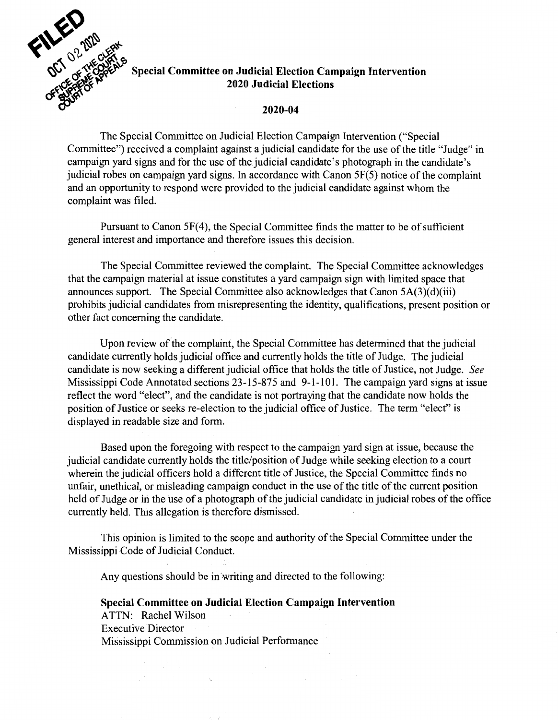

## **Special Committee on Judicial Election Campaign Intervention**<br>2020 Judicial Elections ~,u~~~i~ **2020 Judicial Elections**

## **2020-04**

The Special Committee on Judicial Election Campaign Intervention ("Special Committee") received a complaint against a judicial candidate for the use of the title "Judge" in campaign yard signs and for the use of the judicial candidate's photograph in the candidate's judicial robes on campaign yard signs. In accordance with Canon 5F(5) notice of the complaint and an opportunity to respond were provided to the judicial candidate against whom the complaint was filed.

Pursuant to Canon 5F(4), the Special Committee finds the matter to be of sufficient general interest and importance and therefore issues this decision.

The Special Committee reviewed the complaint. The Special Committee acknowledges that the campaign material at issue constitutes a yard campaign sign with limited space that announces support. The Special Committee also acknowledges that Canon 5A(3)(d)(iii) prohibits judicial candidates from misrepresenting the identity, qualifications, present position or other fact concerning the candidate.

Upon review of the complaint, the Special Committee has determined that the judicial candidate currently holds judicial office and currently holds the title of Judge. The judicial candidate is now seeking a different judicial office that holds the title of Justice, not Judge. *See*  Mississippi Code Annotated sections 23-15-875 and 9-1-101. The campaign yard signs at issue reflect the word "elect", and the candidate is not portraying that the candidate now holds the position of Justice or seeks re-election to the judicial office of Justice. The term "elect" is displayed in readable size and form.

Based upon the foregoing with respect to the campaign yard sign at issue, because the judicial candidate currently holds the title/position of Judge while seeking election to a court wherein the judicial officers hold a different title of Justice, the Special Committee finds no unfair, unethical, or misleading campaign conduct in the use of the title of the current position held of Judge or in the use of a photograph of the judicial candidate in judicial robes of the office currently held. This allegation is therefore dismissed.

This opinion is limited to the scope and authority of the Special Committee under the Mississippi Code of Judicial Conduct.

Any questions should be in writing and directed to the following:

**Special Committee on Judicial Election Campaign Intervention**  ATTN: Rachel Wilson Executive Director Mississippi Commission on Judicial Performance